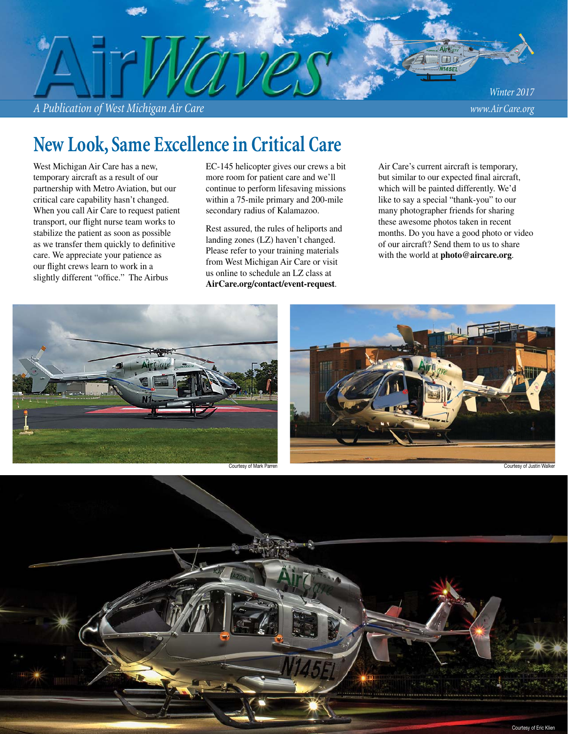*A Publication of West Michigan Air Care www.Air Care.org*

*Winter 2017*

# **New Look, Same Excellence in Critical Care**

West Michigan Air Care has a new, temporary aircraft as a result of our partnership with Metro Aviation, but our critical care capability hasn't changed. When you call Air Care to request patient transport, our flight nurse team works to stabilize the patient as soon as possible as we transfer them quickly to definitive care. We appreciate your patience as our flight crews learn to work in a slightly different "office." The Airbus

EC-145 helicopter gives our crews a bit more room for patient care and we'll continue to perform lifesaving missions within a 75-mile primary and 200-mile secondary radius of Kalamazoo.

Rest assured, the rules of heliports and landing zones (LZ) haven't changed. Please refer to your training materials from West Michigan Air Care or visit us online to schedule an LZ class at **AirCare.org/contact/event-request**.

Air Care's current aircraft is temporary, but similar to our expected final aircraft, which will be painted differently. We'd like to say a special "thank-you" to our many photographer friends for sharing these awesome photos taken in recent months. Do you have a good photo or video of our aircraft? Send them to us to share with the world at **photo@aircare.org**.

 $\Box$ **1145E** 



Courtesy of Mark Parren



Courtesy of Justin Walke

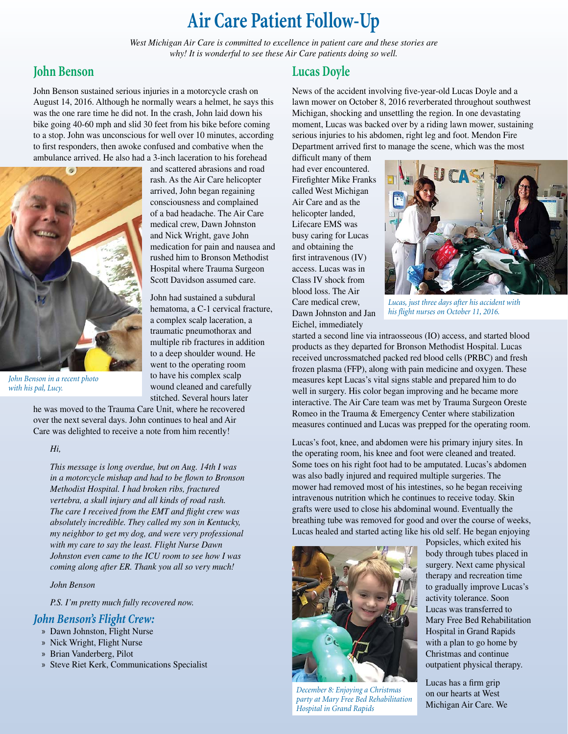# **Air Care Patient Follow-Up**

*West Michigan Air Care is committed to excellence in patient care and these stories are why! It is wonderful to see these Air Care patients doing so well.*

### **John Benson**

John Benson sustained serious injuries in a motorcycle crash on August 14, 2016. Although he normally wears a helmet, he says this was the one rare time he did not. In the crash, John laid down his bike going 40-60 mph and slid 30 feet from his bike before coming to a stop. John was unconscious for well over 10 minutes, according to first responders, then awoke confused and combative when the ambulance arrived. He also had a 3-inch laceration to his forehead

> and scattered abrasions and road rash. As the Air Care helicopter arrived, John began regaining consciousness and complained of a bad headache. The Air Care medical crew, Dawn Johnston and Nick Wright, gave John medication for pain and nausea and rushed him to Bronson Methodist Hospital where Trauma Surgeon Scott Davidson assumed care. John had sustained a subdural hematoma, a C-1 cervical fracture, a complex scalp laceration, a traumatic pneumothorax and multiple rib fractures in addition to a deep shoulder wound. He went to the operating room to have his complex scalp wound cleaned and carefully stitched. Several hours later



*John Benson in a recent photo with his pal, Lucy.* 

he was moved to the Trauma Care Unit, where he recovered over the next several days. John continues to heal and Air Care was delighted to receive a note from him recently!

#### *Hi,*

*This message is long overdue, but on Aug. 14th I was*  in a motorcycle mishap and had to be flown to Bronson *Methodist Hospital. I had broken ribs, fractured vertebra, a skull injury and all kinds of road rash.*  The care I received from the EMT and flight crew was *absolutely incredible. They called my son in Kentucky, my neighbor to get my dog, and were very professional with my care to say the least. Flight Nurse Dawn Johnston even came to the ICU room to see how I was coming along after ER. Thank you all so very much!* 

#### *John Benson*

*P.S. I'm pretty much fully recovered now.*

#### *John Benson's Flight Crew:*

- » Dawn Johnston, Flight Nurse
- » Nick Wright, Flight Nurse
- » Brian Vanderberg, Pilot
- » Steve Riet Kerk, Communications Specialist

### **Lucas Doyle**

News of the accident involving five-year-old Lucas Doyle and a lawn mower on October 8, 2016 reverberated throughout southwest Michigan, shocking and unsettling the region. In one devastating moment, Lucas was backed over by a riding lawn mower, sustaining serious injuries to his abdomen, right leg and foot. Mendon Fire Department arrived first to manage the scene, which was the most

difficult many of them had ever encountered. Firefighter Mike Franks called West Michigan Air Care and as the helicopter landed, Lifecare EMS was busy caring for Lucas and obtaining the first intravenous  $(IV)$ access. Lucas was in Class IV shock from blood loss. The Air Care medical crew, Dawn Johnston and Jan Eichel, immediately



*Lucas, just three days after his accident with*  his flight nurses on October 11, 2016.

started a second line via intraosseous (IO) access, and started blood products as they departed for Bronson Methodist Hospital. Lucas received uncrossmatched packed red blood cells (PRBC) and fresh frozen plasma (FFP), along with pain medicine and oxygen. These measures kept Lucas's vital signs stable and prepared him to do well in surgery. His color began improving and he became more interactive. The Air Care team was met by Trauma Surgeon Oreste Romeo in the Trauma & Emergency Center where stabilization measures continued and Lucas was prepped for the operating room.

Lucas's foot, knee, and abdomen were his primary injury sites. In the operating room, his knee and foot were cleaned and treated. Some toes on his right foot had to be amputated. Lucas's abdomen was also badly injured and required multiple surgeries. The mower had removed most of his intestines, so he began receiving intravenous nutrition which he continues to receive today. Skin grafts were used to close his abdominal wound. Eventually the breathing tube was removed for good and over the course of weeks, Lucas healed and started acting like his old self. He began enjoying



*December 8: Enjoying a Christmas party at Mary Free Bed Rehabilitation Hospital in Grand Rapids*

Popsicles, which exited his body through tubes placed in surgery. Next came physical therapy and recreation time to gradually improve Lucas's activity tolerance. Soon Lucas was transferred to Mary Free Bed Rehabilitation Hospital in Grand Rapids with a plan to go home by Christmas and continue outpatient physical therapy.

Lucas has a firm grip on our hearts at West Michigan Air Care. We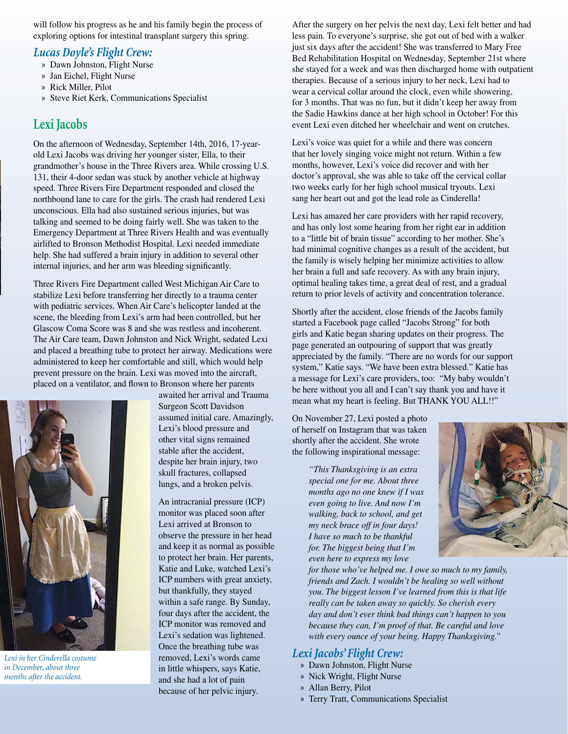will follow his progress as he and his family begin the process of exploring options for intestinal transplant surgery this spring.

#### *Lucas Doyle's Flight Crew:*

- » Dawn Johnston, Flight Nurse
- » Jan Eichel, Flight Nurse
- » Rick Miller, Pilot
- » Steve Riet Kerk, Communications Specialist

## **Lexi Jacobs**

On the afternoon of Wednesday, September 14th, 2016, 17-yearold Lexi Jacobs was driving her younger sister, Ella, to their grandmother's house in the Three Rivers area. While crossing U.S. 131, their 4-door sedan was stuck by another vehicle at highway speed. Three Rivers Fire Department responded and closed the northbound lane to care for the girls. The crash had rendered Lexi unconscious. Ella had also sustained serious injuries, but was talking and seemed to be doing fairly well. She was taken to the Emergency Department at Three Rivers Health and was eventually airlifted to Bronson Methodist Hospital. Lexi needed immediate help. She had suffered a brain injury in addition to several other internal injuries, and her arm was bleeding significantly.

Three Rivers Fire Department called West Michigan Air Care to stabilize Lexi before transferring her directly to a trauma center with pediatric services. When Air Care's helicopter landed at the scene, the bleeding from Lexi's arm had been controlled, but her Glascow Coma Score was 8 and she was restless and incoherent. The Air Care team, Dawn Johnston and Nick Wright, sedated Lexi and placed a breathing tube to protect her airway. Medications were administered to keep her comfortable and still, which would help prevent pressure on the brain. Lexi was moved into the aircraft, placed on a ventilator, and flown to Bronson where her parents



*Lexi in her Cinderella costume in December, about three months after the accident.* 

awaited her arrival and Trauma Surgeon Scott Davidson assumed initial care. Amazingly, Lexi's blood pressure and other vital signs remained stable after the accident, despite her brain injury, two skull fractures, collapsed lungs, and a broken pelvis.

An intracranial pressure (ICP) monitor was placed soon after Lexi arrived at Bronson to observe the pressure in her head and keep it as normal as possible to protect her brain. Her parents, Katie and Luke, watched Lexi's ICP numbers with great anxiety, but thankfully, they stayed within a safe range. By Sunday, four days after the accident, the ICP monitor was removed and Lexi's sedation was lightened. Once the breathing tube was removed, Lexi's words came in little whispers, says Katie, and she had a lot of pain because of her pelvic injury.

After the surgery on her pelvis the next day, Lexi felt better and had less pain. To everyone's surprise, she got out of bed with a walker just six days after the accident! She was transferred to Mary Free Bed Rehabilitation Hospital on Wednesday, September 21st where she stayed for a week and was then discharged home with outpatient therapies. Because of a serious injury to her neck, Lexi had to wear a cervical collar around the clock, even while showering, for 3 months. That was no fun, but it didn't keep her away from the Sadie Hawkins dance at her high school in October! For this event Lexi even ditched her wheelchair and went on crutches.

Lexi's voice was quiet for a while and there was concern that her lovely singing voice might not return. Within a few months, however, Lexi's voice did recover and with her doctor's approval, she was able to take off the cervical collar two weeks early for her high school musical tryouts. Lexi sang her heart out and got the lead role as Cinderella!

Lexi has amazed her care providers with her rapid recovery, and has only lost some hearing from her right ear in addition to a "little bit of brain tissue" according to her mother. She's had minimal cognitive changes as a result of the accident, but the family is wisely helping her minimize activities to allow her brain a full and safe recovery. As with any brain injury, optimal healing takes time, a great deal of rest, and a gradual return to prior levels of activity and concentration tolerance.

Shortly after the accident, close friends of the Jacobs family started a Facebook page called "Jacobs Strong" for both girls and Katie began sharing updates on their progress. The page generated an outpouring of support that was greatly appreciated by the family. "There are no words for our support system," Katie says. "We have been extra blessed." Katie has a message for Lexi's care providers, too: "My baby wouldn't be here without you all and I can't say thank you and have it mean what my heart is feeling. But THANK YOU ALL!!"

On November 27, Lexi posted a photo of herself on Instagram that was taken shortly after the accident. She wrote the following inspirational message:

> *"This Thanksgiving is an extra special one for me. About three months ago no one knew if I was even going to live. And now I'm walking, back to school, and get my neck brace off in four days! I have so much to be thankful for. The biggest being that I'm even here to express my love*



*for those who've helped me. I owe so much to my family, friends and Zach. I wouldn't be healing so well without you. The biggest lesson I've learned from this is that life really can be taken away so quickly. So cherish every day and don't ever think bad things can't happen to you because they can, I'm proof of that. Be careful and love with every ounce of your being. Happy Thanksgiving."*

#### *Lexi Jacobs' Flight Crew:*

- » Dawn Johnston, Flight Nurse
- » Nick Wright, Flight Nurse
- » Allan Berry, Pilot
- » Terry Tratt, Communications Specialist